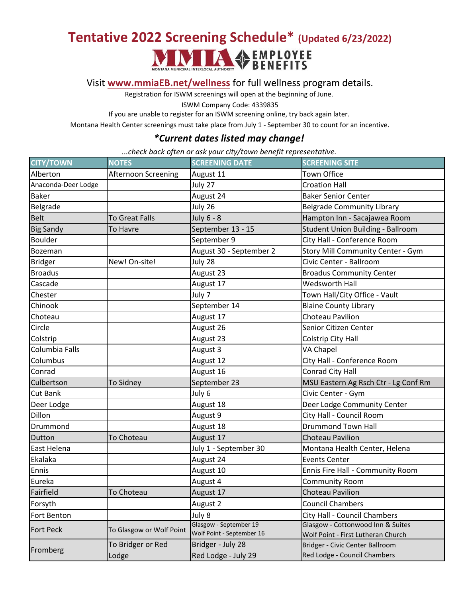## **Tentative 2022 Screening Schedule\* (Updated 6/23/2022)**<br> **MANUSIAN AUTHORITY**<br> **BENEFITS**



[Visit](http://www.mmiaeb.net/wellness) **[www.mmiaEB.net/wellness](http://www.mmiaeb.net/wellness)** for full wellness program details.

Registration for ISWM screenings will open at the beginning of June.

ISWM Company Code: 4339835

If you are unable to register for an ISWM screening online, try back again later.

Montana Health Center screenings must take place from July 1 - September 30 to count for an incentive.

## *\*Current dates listed may change!*

*...check back often or ask your city/town benefit representative.*

| <b>CITY/TOWN</b>    | <b>NOTES</b>             | <u>J</u><br><b>SCREENING DATE</b>                   | <b>SCREENING SITE</b>                                                   |
|---------------------|--------------------------|-----------------------------------------------------|-------------------------------------------------------------------------|
| Alberton            | Afternoon Screening      | August 11                                           | Town Office                                                             |
| Anaconda-Deer Lodge |                          | July 27                                             | <b>Croation Hall</b>                                                    |
| <b>Baker</b>        |                          | August 24                                           | <b>Baker Senior Center</b>                                              |
| Belgrade            |                          | July 26                                             | <b>Belgrade Community Library</b>                                       |
| <b>Belt</b>         | To Great Falls           | July 6 - 8                                          | Hampton Inn - Sacajawea Room                                            |
| <b>Big Sandy</b>    | <b>To Havre</b>          | September 13 - 15                                   | Student Union Building - Ballroom                                       |
| <b>Boulder</b>      |                          | September 9                                         | City Hall - Conference Room                                             |
| Bozeman             |                          | August 30 - September 2                             | Story Mill Community Center - Gym                                       |
| <b>Bridger</b>      | New! On-site!            | July 28                                             | Civic Center - Ballroom                                                 |
| <b>Broadus</b>      |                          | August 23                                           | <b>Broadus Community Center</b>                                         |
| Cascade             |                          | August 17                                           | <b>Wedsworth Hall</b>                                                   |
| Chester             |                          | July 7                                              | Town Hall/City Office - Vault                                           |
| Chinook             |                          | September 14                                        | <b>Blaine County Library</b>                                            |
| Choteau             |                          | August 17                                           | Choteau Pavilion                                                        |
| Circle              |                          | August 26                                           | Senior Citizen Center                                                   |
| Colstrip            |                          | August 23                                           | Colstrip City Hall                                                      |
| Columbia Falls      |                          | August 3                                            | <b>VA Chapel</b>                                                        |
| Columbus            |                          | August 12                                           | City Hall - Conference Room                                             |
| Conrad              |                          | August 16                                           | Conrad City Hall                                                        |
| Culbertson          | To Sidney                | September 23                                        | MSU Eastern Ag Rsch Ctr - Lg Conf Rm                                    |
| <b>Cut Bank</b>     |                          | July 6                                              | Civic Center - Gym                                                      |
| Deer Lodge          |                          | August 18                                           | Deer Lodge Community Center                                             |
| Dillon              |                          | August 9                                            | City Hall - Council Room                                                |
| Drummond            |                          | August 18                                           | <b>Drummond Town Hall</b>                                               |
| Dutton              | To Choteau               | August 17                                           | <b>Choteau Pavilion</b>                                                 |
| East Helena         |                          | July 1 - September 30                               | Montana Health Center, Helena                                           |
| Ekalaka             |                          | August 24                                           | <b>Events Center</b>                                                    |
| Ennis               |                          | August 10                                           | Ennis Fire Hall - Community Room                                        |
| Eureka              |                          | August 4                                            | <b>Community Room</b>                                                   |
| Fairfield           | To Choteau               | August 17                                           | Choteau Pavilion                                                        |
| Forsyth             |                          | August 2                                            | <b>Council Chambers</b>                                                 |
| Fort Benton         |                          | July 8                                              | City Hall - Council Chambers                                            |
| <b>Fort Peck</b>    | To Glasgow or Wolf Point | Glasgow - September 19<br>Wolf Point - September 16 | Glasgow - Cottonwood Inn & Suites<br>Wolf Point - First Lutheran Church |
| Fromberg            | To Bridger or Red        | Bridger - July 28                                   | Bridger - Civic Center Ballroom                                         |
|                     | Lodge                    | Red Lodge - July 29                                 | Red Lodge - Council Chambers                                            |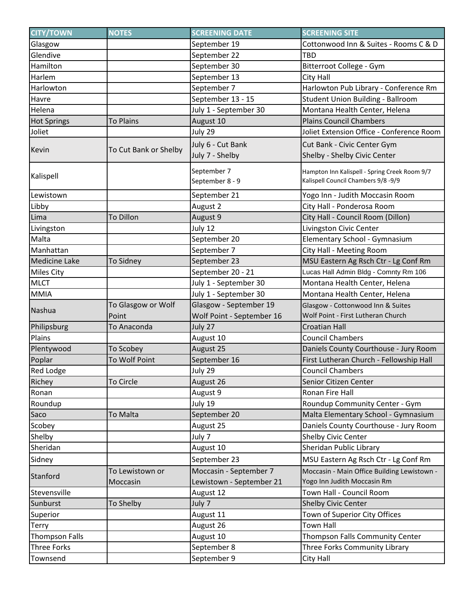| <b>CITY/TOWN</b>      | <b>NOTES</b>                | <b>SCREENING DATE</b>                               | <b>SCREENING SITE</b>                                                                |
|-----------------------|-----------------------------|-----------------------------------------------------|--------------------------------------------------------------------------------------|
| Glasgow               |                             | September 19                                        | Cottonwood Inn & Suites - Rooms C & D                                                |
| Glendive              |                             | September 22                                        | <b>TBD</b>                                                                           |
| Hamilton              |                             | September 30                                        | Bitterroot College - Gym                                                             |
| Harlem                |                             | September 13                                        | City Hall                                                                            |
| Harlowton             |                             | September 7                                         | Harlowton Pub Library - Conference Rm                                                |
| Havre                 |                             | September 13 - 15                                   | Student Union Building - Ballroom                                                    |
| Helena                |                             | July 1 - September 30                               | Montana Health Center, Helena                                                        |
| <b>Hot Springs</b>    | <b>To Plains</b>            | August 10                                           | <b>Plains Council Chambers</b>                                                       |
| Joliet                |                             | July 29                                             | Joliet Extension Office - Conference Room                                            |
| Kevin                 | To Cut Bank or Shelby       | July 6 - Cut Bank<br>July 7 - Shelby                | Cut Bank - Civic Center Gym<br>Shelby - Shelby Civic Center                          |
| Kalispell             |                             | September 7<br>September 8 - 9                      | Hampton Inn Kalispell - Spring Creek Room 9/7<br>Kalispell Council Chambers 9/8 -9/9 |
| Lewistown             |                             | September 21                                        | Yogo Inn - Judith Moccasin Room                                                      |
| Libby                 |                             | August 2                                            | City Hall - Ponderosa Room                                                           |
| Lima                  | <b>To Dillon</b>            | August 9                                            | City Hall - Council Room (Dillon)                                                    |
| Livingston            |                             | July 12                                             | Livingston Civic Center                                                              |
| Malta                 |                             | September 20                                        | Elementary School - Gymnasium                                                        |
| Manhattan             |                             | September 7                                         | City Hall - Meeting Room                                                             |
| <b>Medicine Lake</b>  | To Sidney                   | September 23                                        | MSU Eastern Ag Rsch Ctr - Lg Conf Rm                                                 |
| <b>Miles City</b>     |                             | September 20 - 21                                   | Lucas Hall Admin Bldg - Comnty Rm 106                                                |
| <b>MLCT</b>           |                             | July 1 - September 30                               | Montana Health Center, Helena                                                        |
| <b>MMIA</b>           |                             | July 1 - September 30                               | Montana Health Center, Helena                                                        |
| Nashua                | To Glasgow or Wolf<br>Point | Glasgow - September 19<br>Wolf Point - September 16 | Glasgow - Cottonwood Inn & Suites<br>Wolf Point - First Lutheran Church              |
| Philipsburg           | To Anaconda                 | July 27                                             | <b>Croatian Hall</b>                                                                 |
| Plains                |                             | August 10                                           | <b>Council Chambers</b>                                                              |
| Plentywood            | To Scobey                   | August 25                                           | Daniels County Courthouse - Jury Room                                                |
| Poplar                | To Wolf Point               | September 16                                        | First Lutheran Church - Fellowship Hall                                              |
| <b>Red Lodge</b>      |                             | July 29                                             | <b>Council Chambers</b>                                                              |
| Richey                | To Circle                   | August 26                                           | Senior Citizen Center                                                                |
| Ronan                 |                             | August 9                                            | Ronan Fire Hall                                                                      |
| Roundup               |                             | July 19                                             | Roundup Community Center - Gym                                                       |
| Saco                  | To Malta                    | September 20                                        | Malta Elementary School - Gymnasium                                                  |
| Scobey                |                             | August 25                                           | Daniels County Courthouse - Jury Room                                                |
| Shelby                |                             | July 7                                              | Shelby Civic Center                                                                  |
| Sheridan              |                             | August 10                                           | Sheridan Public Library                                                              |
| Sidney                |                             | September 23                                        | MSU Eastern Ag Rsch Ctr - Lg Conf Rm                                                 |
| Stanford              | To Lewistown or             | Moccasin - September 7                              | Moccasin - Main Office Building Lewistown -                                          |
|                       | Moccasin                    | Lewistown - September 21                            | Yogo Inn Judith Moccasin Rm                                                          |
| Stevensville          |                             | August 12                                           | Town Hall - Council Room                                                             |
| Sunburst              | To Shelby                   | July 7                                              | <b>Shelby Civic Center</b>                                                           |
| Superior              |                             | August 11                                           | Town of Superior City Offices                                                        |
| <b>Terry</b>          |                             | August 26                                           | <b>Town Hall</b>                                                                     |
| <b>Thompson Falls</b> |                             | August 10                                           | Thompson Falls Community Center                                                      |
| Three Forks           |                             | September 8                                         | Three Forks Community Library                                                        |
| Townsend              |                             | September 9                                         | City Hall                                                                            |